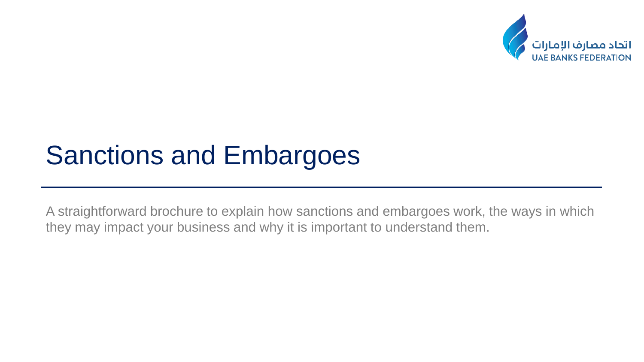

A straightforward brochure to explain how sanctions and embargoes work, the ways in which they may impact your business and why it is important to understand them.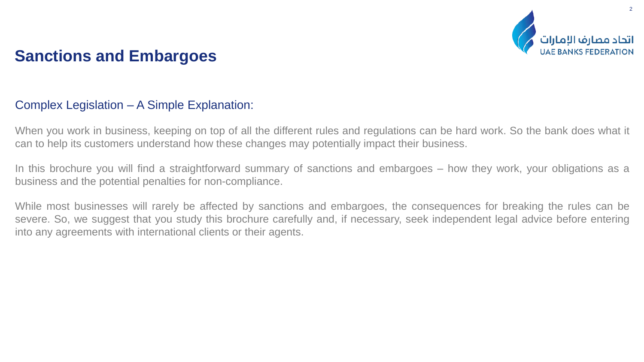

#### Complex Legislation – A Simple Explanation:

When you work in business, keeping on top of all the different rules and regulations can be hard work. So the bank does what it can to help its customers understand how these changes may potentially impact their business.

In this brochure you will find a straightforward summary of sanctions and embargoes – how they work, your obligations as a business and the potential penalties for non-compliance.

While most businesses will rarely be affected by sanctions and embargoes, the consequences for breaking the rules can be severe. So, we suggest that you study this brochure carefully and, if necessary, seek independent legal advice before entering into any agreements with international clients or their agents.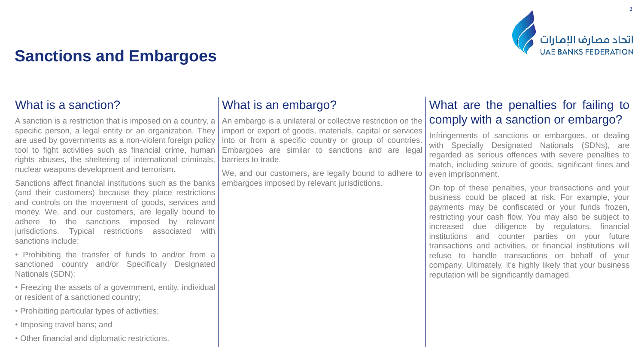

## What is a sanction?

A sanction is a restriction that is imposed on a country, a specific person, a legal entity or an organization. They are used by governments as a non-violent foreign policy tool to fight activities such as financial crime, human rights abuses, the sheltering of international criminals, nuclear weapons development and terrorism.

Sanctions affect financial institutions such as the banks (and their customers) because they place restrictions and controls on the movement of goods, services and money. We, and our customers, are legally bound to adhere to the sanctions imposed by relevant jurisdictions. Typical restrictions associated with sanctions include:

• Prohibiting the transfer of funds to and/or from a sanctioned country and/or Specifically Designated Nationals (SDN);

• Freezing the assets of a government, entity, individual or resident of a sanctioned country;

- Prohibiting particular types of activities;
- Imposing travel bans; and
- Other financial and diplomatic restrictions.

## What is an embargo?

An embargo is a unilateral or collective restriction on the import or export of goods, materials, capital or services into or from a specific country or group of countries. Embargoes are similar to sanctions and are legal barriers to trade.

We, and our customers, are legally bound to adhere to embargoes imposed by relevant jurisdictions.

#### What are the penalties for failing to comply with a sanction or embargo?

Infringements of sanctions or embargoes, or dealing with Specially Designated Nationals (SDNs), are regarded as serious offences with severe penalties to match, including seizure of goods, significant fines and even imprisonment.

On top of these penalties, your transactions and your business could be placed at risk. For example, your payments may be confiscated or your funds frozen, restricting your cash flow. You may also be subject to increased due diligence by regulators, financial institutions and counter parties on your future transactions and activities, or financial institutions will refuse to handle transactions on behalf of your company. Ultimately, it's highly likely that your business reputation will be significantly damaged.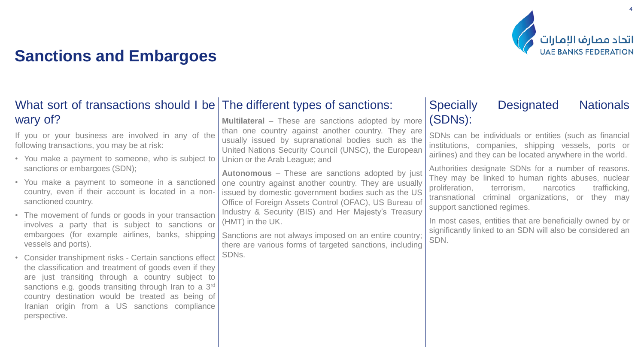

## What sort of transactions should I be The different types of sanctions:

**Multilateral** – These are sanctions adopted by more than one country against another country. They are usually issued by supranational bodies such as the United Nations Security Council (UNSC), the European Union or the Arab League; and

**Autonomous** – These are sanctions adopted by just one country against another country. They are usually issued by domestic government bodies such as the US Office of Foreign Assets Control (OFAC), US Bureau of Industry & Security (BIS) and Her Majesty's Treasury (HMT) in the UK.

Sanctions are not always imposed on an entire country; there are various forms of targeted sanctions, including SDNs.

## Specially Designated Nationals (SDNs):

SDNs can be individuals or entities (such as financial institutions, companies, shipping vessels, ports or airlines) and they can be located anywhere in the world.

Authorities designate SDNs for a number of reasons. They may be linked to human rights abuses, nuclear proliferation, terrorism, narcotics trafficking, transnational criminal organizations, or they may support sanctioned regimes.

In most cases, entities that are beneficially owned by or significantly linked to an SDN will also be considered an SDN.

wary of? If you or your business are involved in any of the following transactions, you may be at risk:

• You make a payment to someone, who is subject to sanctions or embargoes (SDN);

- You make a payment to someone in a sanctioned country, even if their account is located in a nonsanctioned country.
- The movement of funds or goods in your transaction involves a party that is subject to sanctions or embargoes (for example airlines, banks, shipping vessels and ports).
- Consider transhipment risks Certain sanctions effect the classification and treatment of goods even if they are just transiting through a country subject to sanctions e.g. goods transiting through Iran to a 3<sup>rd</sup> country destination would be treated as being of Iranian origin from a US sanctions compliance perspective.

4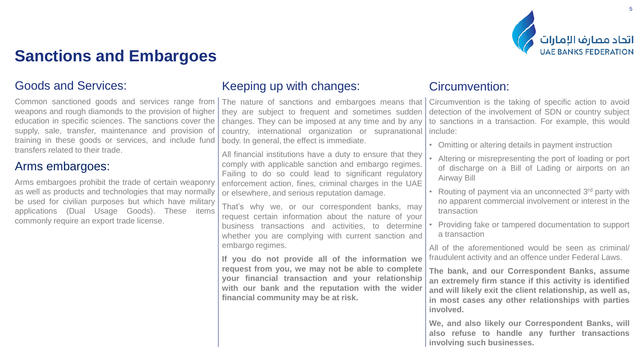

#### Goods and Services:

Common sanctioned goods and services range from weapons and rough diamonds to the provision of higher education in specific sciences. The sanctions cover the supply, sale, transfer, maintenance and provision of training in these goods or services, and include fund transfers related to their trade.

#### Arms embargoes:

Arms embargoes prohibit the trade of certain weaponry as well as products and technologies that may normally be used for civilian purposes but which have military applications (Dual Usage Goods). These items commonly require an export trade license.

#### Keeping up with changes:

The nature of sanctions and embargoes means that they are subject to frequent and sometimes sudden changes. They can be imposed at any time and by any country, international organization or supranational body. In general, the effect is immediate.

All financial institutions have a duty to ensure that they comply with applicable sanction and embargo regimes. Failing to do so could lead to significant regulatory enforcement action, fines, criminal charges in the UAE or elsewhere, and serious reputation damage.

That's why we, or our correspondent banks, may request certain information about the nature of your business transactions and activities, to determine whether you are complying with current sanction and embargo regimes.

**If you do not provide all of the information we request from you, we may not be able to complete your financial transaction and your relationship with our bank and the reputation with the wider financial community may be at risk.**

#### Circumvention:

Circumvention is the taking of specific action to avoid detection of the involvement of SDN or country subject to sanctions in a transaction. For example, this would include:

- Omitting or altering details in payment instruction
- Altering or misrepresenting the port of loading or port of discharge on a Bill of Lading or airports on an Airway Bill
- Routing of payment via an unconnected 3rd party with no apparent commercial involvement or interest in the transaction
- Providing fake or tampered documentation to support a transaction

All of the aforementioned would be seen as criminal/ fraudulent activity and an offence under Federal Laws.

**The bank, and our Correspondent Banks, assume an extremely firm stance if this activity is identified and will likely exit the client relationship, as well as, in most cases any other relationships with parties involved.**

**We, and also likely our Correspondent Banks, will also refuse to handle any further transactions involving such businesses.**